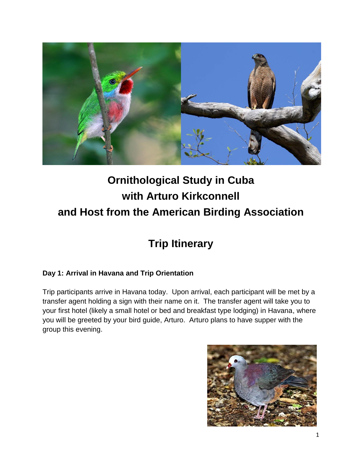

# **Ornithological Study in Cuba with Arturo Kirkconnell and Host from the American Birding Association**

# **Trip Itinerary**

## **Day 1: Arrival in Havana and Trip Orientation**

Trip participants arrive in Havana today. Upon arrival, each participant will be met by a transfer agent holding a sign with their name on it. The transfer agent will take you to your first hotel (likely a small hotel or bed and breakfast type lodging) in Havana, where you will be greeted by your bird guide, Arturo. Arturo plans to have supper with the group this evening.

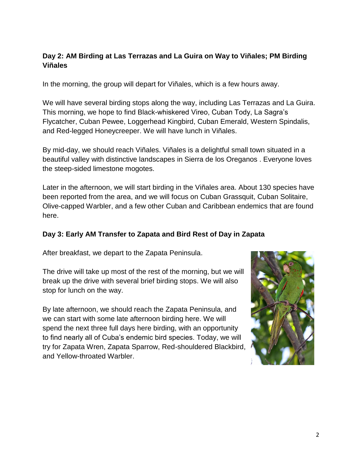#### **Day 2: AM Birding at Las Terrazas and La Guira on Way to Viñales; PM Birding Viñales**

In the morning, the group will depart for Viñales, which is a few hours away.

We will have several birding stops along the way, including Las Terrazas and La Guira. This morning, we hope to find Black-whiskered Vireo, Cuban Tody, La Sagra's Flycatcher, Cuban Pewee, Loggerhead Kingbird, Cuban Emerald, Western Spindalis, and Red-legged Honeycreeper. We will have lunch in Viñales.

By mid-day, we should reach Viñales. Viñales is a delightful small town situated in a beautiful valley with distinctive landscapes in Sierra de los Oreganos . Everyone loves the steep-sided limestone mogotes.

Later in the afternoon, we will start birding in the Viñales area. About 130 species have been reported from the area, and we will focus on Cuban Grassquit, Cuban Solitaire, Olive-capped Warbler, and a few other Cuban and Caribbean endemics that are found here.

#### **Day 3: Early AM Transfer to Zapata and Bird Rest of Day in Zapata**

After breakfast, we depart to the Zapata Peninsula.

The drive will take up most of the rest of the morning, but we will break up the drive with several brief birding stops. We will also stop for lunch on the way.

By late afternoon, we should reach the Zapata Peninsula, and we can start with some late afternoon birding here. We will spend the next three full days here birding, with an opportunity to find nearly all of Cuba's endemic bird species. Today, we will try for Zapata Wren, Zapata Sparrow, Red-shouldered Blackbird, and Yellow-throated Warbler.

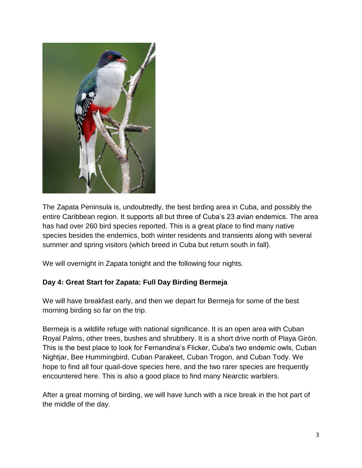

The Zapata Peninsula is, undoubtedly, the best birding area in Cuba, and possibly the entire Caribbean region. It supports all but three of Cuba's 23 avian endemics. The area has had over 260 bird species reported. This is a great place to find many native species besides the endemics, both winter residents and transients along with several summer and spring visitors (which breed in Cuba but return south in fall).

We will overnight in Zapata tonight and the following four nights.

#### **Day 4: Great Start for Zapata: Full Day Birding Bermeja**

We will have breakfast early, and then we depart for Bermeja for some of the best morning birding so far on the trip.

Bermeja is a wildlife refuge with national significance. It is an open area with Cuban Royal Palms, other trees, bushes and shrubbery. It is a short drive north of Playa Girón. This is the best place to look for Fernandina's Flicker, Cuba's two endemic owls, Cuban Nightjar, Bee Hummingbird, Cuban Parakeet, Cuban Trogon, and Cuban Tody. We hope to find all four quail-dove species here, and the two rarer species are frequently encountered here. This is also a good place to find many Nearctic warblers.

After a great morning of birding, we will have lunch with a nice break in the hot part of the middle of the day.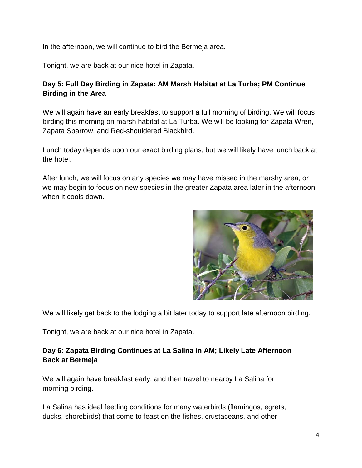In the afternoon, we will continue to bird the Bermeja area.

Tonight, we are back at our nice hotel in Zapata.

#### **Day 5: Full Day Birding in Zapata: AM Marsh Habitat at La Turba; PM Continue Birding in the Area**

We will again have an early breakfast to support a full morning of birding. We will focus birding this morning on marsh habitat at La Turba. We will be looking for Zapata Wren, Zapata Sparrow, and Red-shouldered Blackbird.

Lunch today depends upon our exact birding plans, but we will likely have lunch back at the hotel.

After lunch, we will focus on any species we may have missed in the marshy area, or we may begin to focus on new species in the greater Zapata area later in the afternoon when it cools down.



We will likely get back to the lodging a bit later today to support late afternoon birding.

Tonight, we are back at our nice hotel in Zapata.

#### **Day 6: Zapata Birding Continues at La Salina in AM; Likely Late Afternoon Back at Bermeja**

We will again have breakfast early, and then travel to nearby La Salina for morning birding.

La Salina has ideal feeding conditions for many waterbirds (flamingos, egrets, ducks, shorebirds) that come to feast on the fishes, crustaceans, and other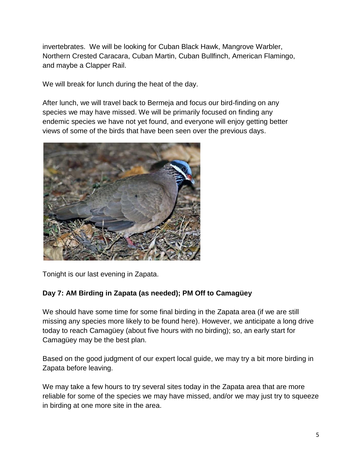invertebrates. We will be looking for Cuban Black Hawk, Mangrove Warbler, Northern Crested Caracara, Cuban Martin, Cuban Bullfinch, American Flamingo, and maybe a Clapper Rail.

We will break for lunch during the heat of the day.

After lunch, we will travel back to Bermeja and focus our bird-finding on any species we may have missed. We will be primarily focused on finding any endemic species we have not yet found, and everyone will enjoy getting better views of some of the birds that have been seen over the previous days.



Tonight is our last evening in Zapata.

#### **Day 7: AM Birding in Zapata (as needed); PM Off to Camagüey**

We should have some time for some final birding in the Zapata area (if we are still missing any species more likely to be found here). However, we anticipate a long drive today to reach Camagüey (about five hours with no birding); so, an early start for Camagüey may be the best plan.

Based on the good judgment of our expert local guide, we may try a bit more birding in Zapata before leaving.

We may take a few hours to try several sites today in the Zapata area that are more reliable for some of the species we may have missed, and/or we may just try to squeeze in birding at one more site in the area.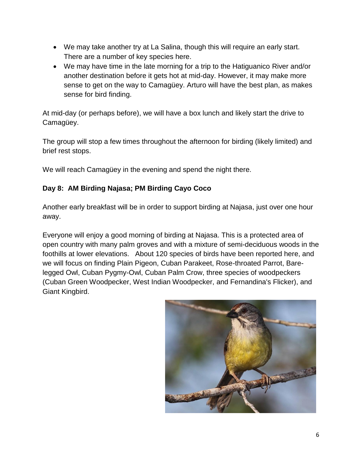- We may take another try at La Salina, though this will require an early start. There are a number of key species here.
- We may have time in the late morning for a trip to the Hatiguanico River and/or another destination before it gets hot at mid-day. However, it may make more sense to get on the way to Camagüey. Arturo will have the best plan, as makes sense for bird finding.

At mid-day (or perhaps before), we will have a box lunch and likely start the drive to Camagüey.

The group will stop a few times throughout the afternoon for birding (likely limited) and brief rest stops.

We will reach Camagüey in the evening and spend the night there.

### **Day 8: AM Birding Najasa; PM Birding Cayo Coco**

Another early breakfast will be in order to support birding at Najasa, just over one hour away.

Everyone will enjoy a good morning of birding at Najasa. This is a protected area of open country with many palm groves and with a mixture of semi-deciduous woods in the foothills at lower elevations. About 120 species of birds have been reported here, and we will focus on finding Plain Pigeon, Cuban Parakeet, Rose-throated Parrot, Barelegged Owl, Cuban Pygmy-Owl, Cuban Palm Crow, three species of woodpeckers (Cuban Green Woodpecker, West Indian Woodpecker, and Fernandina's Flicker), and Giant Kingbird.

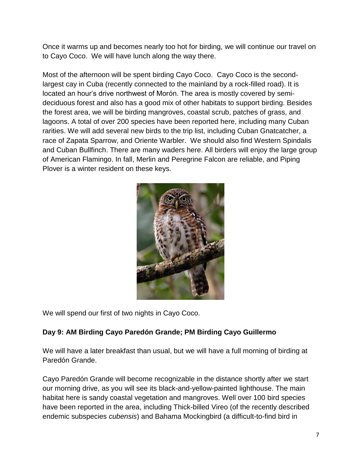Once it warms up and becomes nearly too hot for birding, we will continue our travel on to Cayo Coco. We will have lunch along the way there.

Most of the afternoon will be spent birding Cayo Coco. Cayo Coco is the secondlargest cay in Cuba (recently connected to the mainland by a rock-filled road). It is located an hour's drive northwest of Morón. The area is mostly covered by semideciduous forest and also has a good mix of other habitats to support birding. Besides the forest area, we will be birding mangroves, coastal scrub, patches of grass, and lagoons. A total of over 200 species have been reported here, including many Cuban rarities. We will add several new birds to the trip list, including Cuban Gnatcatcher, a race of Zapata Sparrow, and Oriente Warbler. We should also find Western Spindalis and Cuban Bullfinch. There are many waders here. All birders will enjoy the large group of American Flamingo. In fall, Merlin and Peregrine Falcon are reliable, and Piping Plover is a winter resident on these keys.



We will spend our first of two nights in Cayo Coco.

#### **Day 9: AM Birding Cayo Paredón Grande; PM Birding Cayo Guillermo**

We will have a later breakfast than usual, but we will have a full morning of birding at Paredón Grande.

Cayo Paredón Grande will become recognizable in the distance shortly after we start our morning drive, as you will see its black-and-yellow-painted lighthouse. The main habitat here is sandy coastal vegetation and mangroves. Well over 100 bird species have been reported in the area, including Thick-billed Vireo (of the recently described endemic subspecies *cubensis*) and Bahama Mockingbird (a difficult-to-find bird in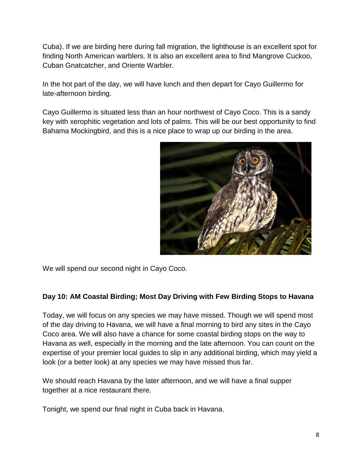Cuba). If we are birding here during fall migration, the lighthouse is an excellent spot for finding North American warblers. It is also an excellent area to find Mangrove Cuckoo, Cuban Gnatcatcher, and Oriente Warbler.

In the hot part of the day, we will have lunch and then depart for Cayo Guillermo for late-afternoon birding.

Cayo Guillermo is situated less than an hour northwest of Cayo Coco. This is a sandy key with xerophitic vegetation and lots of palms. This will be our best opportunity to find Bahama Mockingbird, and this is a nice place to wrap up our birding in the area.



We will spend our second night in Cayo Coco.

#### **Day 10: AM Coastal Birding; Most Day Driving with Few Birding Stops to Havana**

Today, we will focus on any species we may have missed. Though we will spend most of the day driving to Havana, we will have a final morning to bird any sites in the Cayo Coco area. We will also have a chance for some coastal birding stops on the way to Havana as well, especially in the morning and the late afternoon. You can count on the expertise of your premier local guides to slip in any additional birding, which may yield a look (or a better look) at any species we may have missed thus far.

We should reach Havana by the later afternoon, and we will have a final supper together at a nice restaurant there.

Tonight, we spend our final night in Cuba back in Havana.